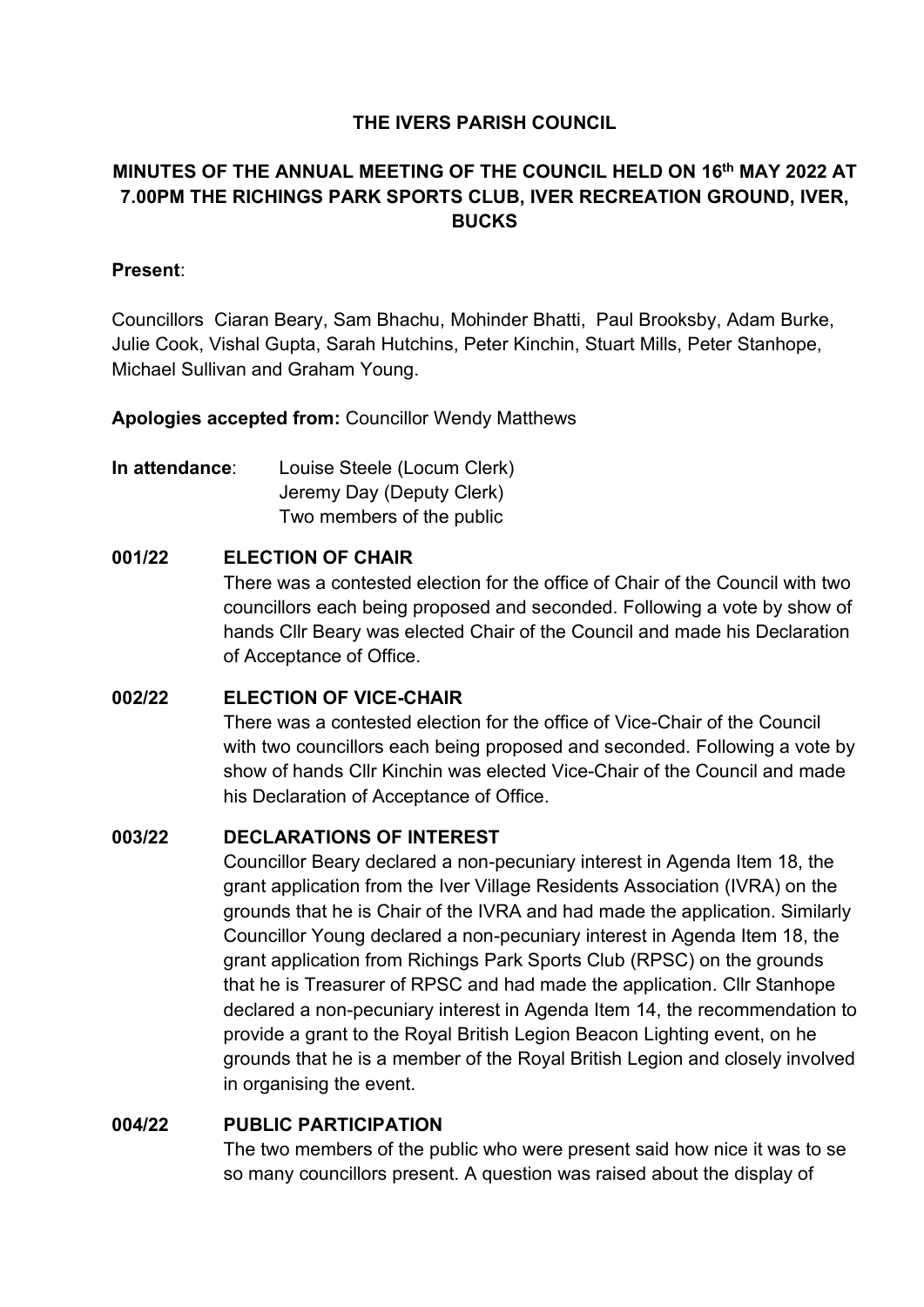## **THE IVERS PARISH COUNCIL**

# **MINUTES OF THE ANNUAL MEETING OF THE COUNCIL HELD ON 16th MAY 2022 AT 7.00PM THE RICHINGS PARK SPORTS CLUB, IVER RECREATION GROUND, IVER, BUCKS**

### **Present**:

Councillors Ciaran Beary, Sam Bhachu, Mohinder Bhatti, Paul Brooksby, Adam Burke, Julie Cook, Vishal Gupta, Sarah Hutchins, Peter Kinchin, Stuart Mills, Peter Stanhope, Michael Sullivan and Graham Young.

**Apologies accepted from:** Councillor Wendy Matthews

**In attendance**: Louise Steele (Locum Clerk) Jeremy Day (Deputy Clerk) Two members of the public

# **001/22 ELECTION OF CHAIR** There was a contested election for the office of Chair of the Council with two councillors each being proposed and seconded. Following a vote by show of hands Cllr Beary was elected Chair of the Council and made his Declaration of Acceptance of Office.

#### **002/22 ELECTION OF VICE-CHAIR**

There was a contested election for the office of Vice-Chair of the Council with two councillors each being proposed and seconded. Following a vote by show of hands Cllr Kinchin was elected Vice-Chair of the Council and made his Declaration of Acceptance of Office.

#### **003/22 DECLARATIONS OF INTEREST**

Councillor Beary declared a non-pecuniary interest in Agenda Item 18, the grant application from the Iver Village Residents Association (IVRA) on the grounds that he is Chair of the IVRA and had made the application. Similarly Councillor Young declared a non-pecuniary interest in Agenda Item 18, the grant application from Richings Park Sports Club (RPSC) on the grounds that he is Treasurer of RPSC and had made the application. Cllr Stanhope declared a non-pecuniary interest in Agenda Item 14, the recommendation to provide a grant to the Royal British Legion Beacon Lighting event, on he grounds that he is a member of the Royal British Legion and closely involved in organising the event.

#### **004/22 PUBLIC PARTICIPATION**

The two members of the public who were present said how nice it was to se so many councillors present. A question was raised about the display of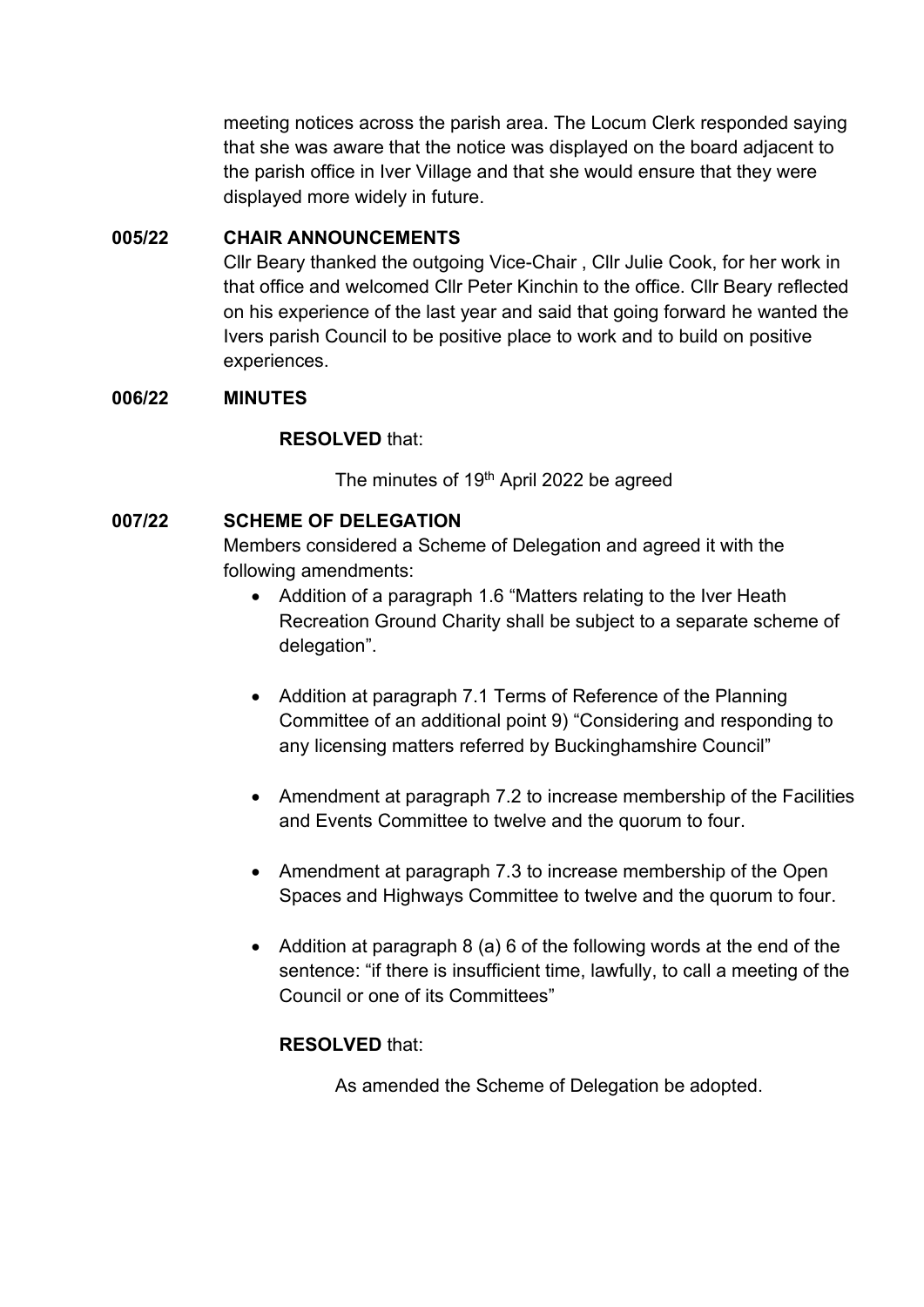meeting notices across the parish area. The Locum Clerk responded saying that she was aware that the notice was displayed on the board adjacent to the parish office in Iver Village and that she would ensure that they were displayed more widely in future.

## **005/22 CHAIR ANNOUNCEMENTS**

Cllr Beary thanked the outgoing Vice-Chair , Cllr Julie Cook, for her work in that office and welcomed Cllr Peter Kinchin to the office. Cllr Beary reflected on his experience of the last year and said that going forward he wanted the Ivers parish Council to be positive place to work and to build on positive experiences.

## **006/22 MINUTES**

### **RESOLVED** that:

The minutes of 19<sup>th</sup> April 2022 be agreed

### **007/22 SCHEME OF DELEGATION**

Members considered a Scheme of Delegation and agreed it with the following amendments:

- Addition of a paragraph 1.6 "Matters relating to the Iver Heath Recreation Ground Charity shall be subject to a separate scheme of delegation".
- Addition at paragraph 7.1 Terms of Reference of the Planning Committee of an additional point 9) "Considering and responding to any licensing matters referred by Buckinghamshire Council"
- Amendment at paragraph 7.2 to increase membership of the Facilities and Events Committee to twelve and the quorum to four.
- Amendment at paragraph 7.3 to increase membership of the Open Spaces and Highways Committee to twelve and the quorum to four.
- Addition at paragraph 8 (a) 6 of the following words at the end of the sentence: "if there is insufficient time, lawfully, to call a meeting of the Council or one of its Committees"

## **RESOLVED** that:

As amended the Scheme of Delegation be adopted.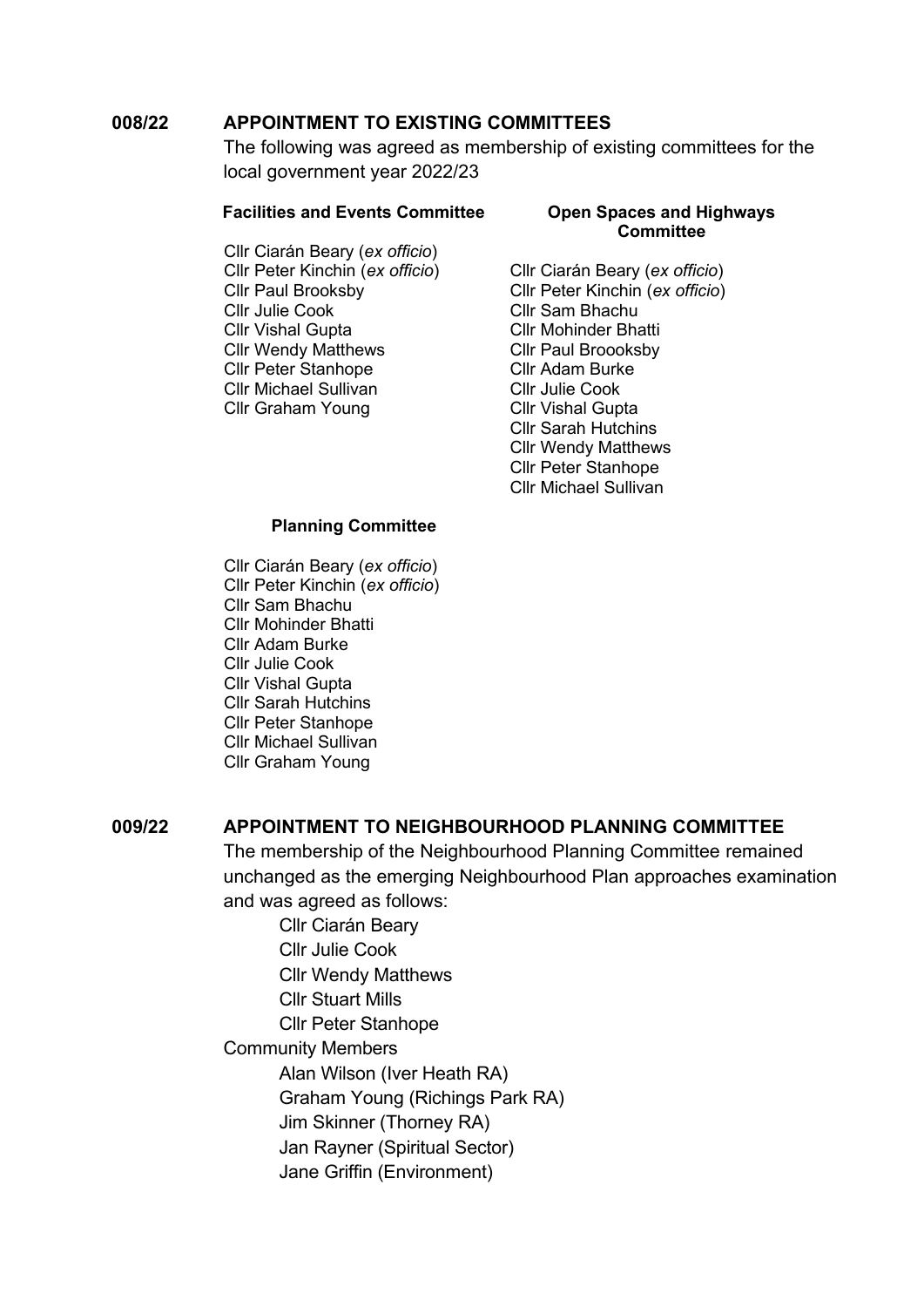#### **008/22 APPOINTMENT TO EXISTING COMMITTEES**

The following was agreed as membership of existing committees for the local government year 2022/23

#### **Facilities and Events Committee**

#### **Open Spaces and Highways Committee**

- Cllr Ciarán Beary (*ex officio*) Cllr Peter Kinchin (*ex officio*) Cllr Paul Brooksby Cllr Julie Cook Cllr Vishal Gupta Cllr Wendy Matthews Cllr Peter Stanhope Cllr Michael Sullivan Cllr Graham Young
- Cllr Ciarán Beary (*ex officio*) Cllr Peter Kinchin (*ex officio*) Cllr Sam Bhachu Cllr Mohinder Bhatti Cllr Paul Broooksby Cllr Adam Burke Cllr Julie Cook Cllr Vishal Gupta Cllr Sarah Hutchins Cllr Wendy Matthews Cllr Peter Stanhope Cllr Michael Sullivan

#### **Planning Committee**

Cllr Ciarán Beary (*ex officio*) Cllr Peter Kinchin (*ex officio*) Cllr Sam Bhachu Cllr Mohinder Bhatti Cllr Adam Burke Cllr Julie Cook Cllr Vishal Gupta Cllr Sarah Hutchins Cllr Peter Stanhope Cllr Michael Sullivan Cllr Graham Young

## **009/22 APPOINTMENT TO NEIGHBOURHOOD PLANNING COMMITTEE**

The membership of the Neighbourhood Planning Committee remained unchanged as the emerging Neighbourhood Plan approaches examination and was agreed as follows:

Cllr Ciarán Beary Cllr Julie Cook Cllr Wendy Matthews Cllr Stuart Mills Cllr Peter Stanhope

Community Members

Alan Wilson (Iver Heath RA) Graham Young (Richings Park RA)

Jim Skinner (Thorney RA)

Jan Rayner (Spiritual Sector)

Jane Griffin (Environment)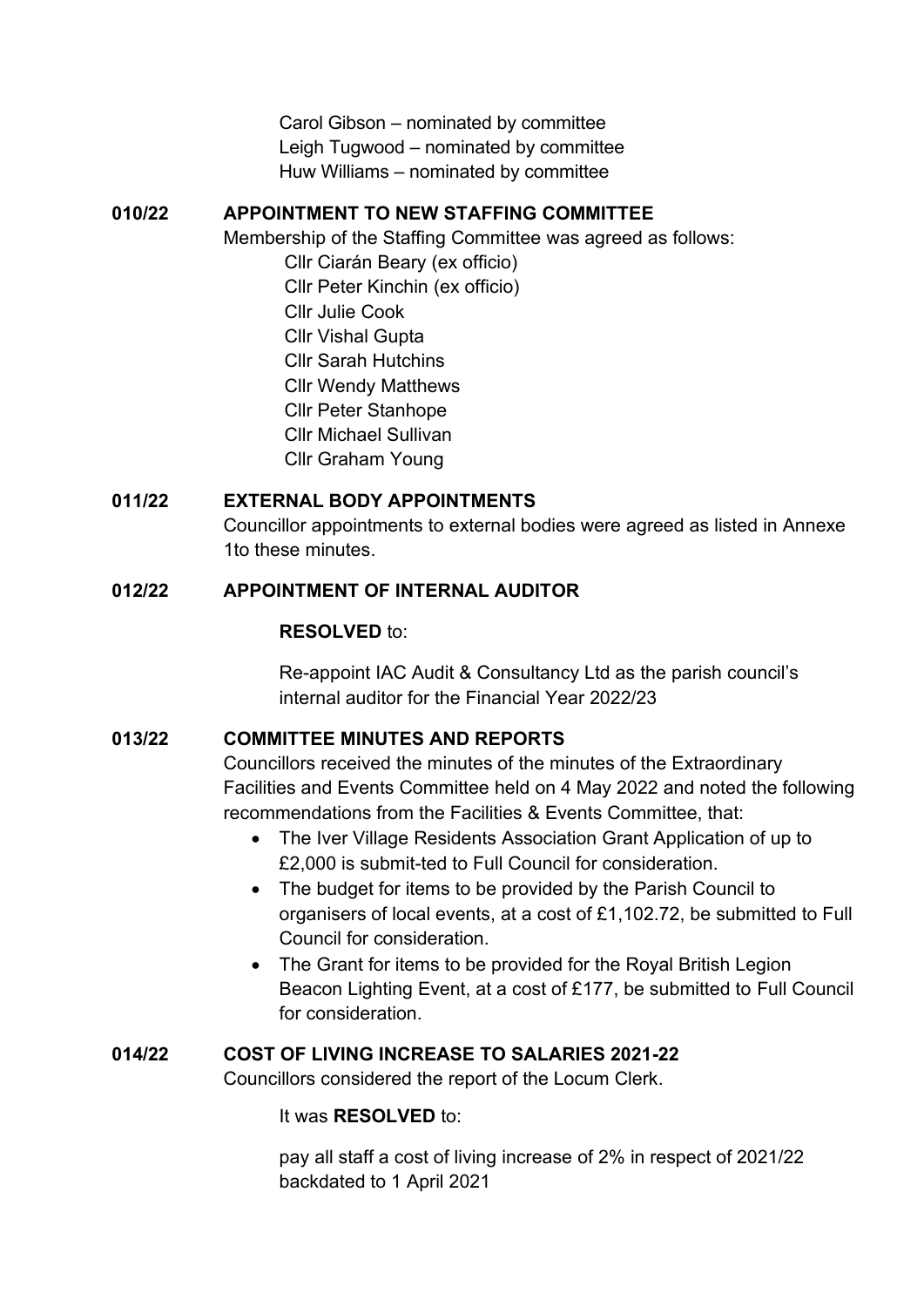Carol Gibson – nominated by committee Leigh Tugwood – nominated by committee Huw Williams – nominated by committee

## **010/22 APPOINTMENT TO NEW STAFFING COMMITTEE**

Membership of the Staffing Committee was agreed as follows: Cllr Ciarán Beary (ex officio) Cllr Peter Kinchin (ex officio) Cllr Julie Cook Cllr Vishal Gupta Cllr Sarah Hutchins Cllr Wendy Matthews Cllr Peter Stanhope Cllr Michael Sullivan Cllr Graham Young

## **011/22 EXTERNAL BODY APPOINTMENTS**

Councillor appointments to external bodies were agreed as listed in Annexe 1to these minutes.

### **012/22 APPOINTMENT OF INTERNAL AUDITOR**

#### **RESOLVED** to:

Re-appoint IAC Audit & Consultancy Ltd as the parish council's internal auditor for the Financial Year 2022/23

#### **013/22 COMMITTEE MINUTES AND REPORTS**

Councillors received the minutes of the minutes of the Extraordinary Facilities and Events Committee held on 4 May 2022 and noted the following recommendations from the Facilities & Events Committee, that:

- The Iver Village Residents Association Grant Application of up to £2,000 is submit-ted to Full Council for consideration.
- The budget for items to be provided by the Parish Council to organisers of local events, at a cost of £1,102.72, be submitted to Full Council for consideration.
- The Grant for items to be provided for the Royal British Legion Beacon Lighting Event, at a cost of £177, be submitted to Full Council for consideration.

## **014/22 COST OF LIVING INCREASE TO SALARIES 2021-22**

Councillors considered the report of the Locum Clerk.

#### It was **RESOLVED** to:

pay all staff a cost of living increase of 2% in respect of 2021/22 backdated to 1 April 2021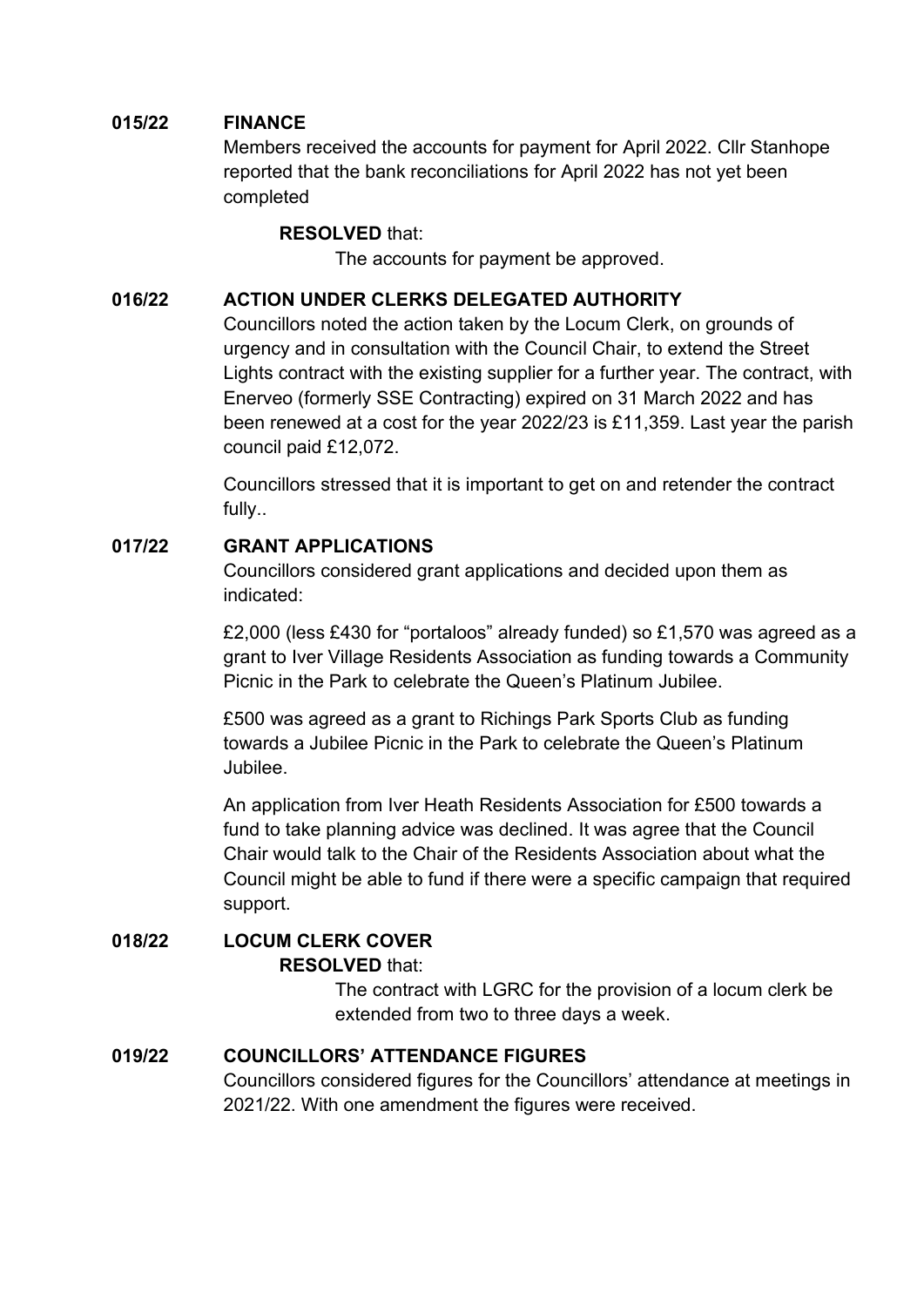## **015/22 FINANCE**

Members received the accounts for payment for April 2022. Cllr Stanhope reported that the bank reconciliations for April 2022 has not yet been completed

### **RESOLVED** that:

The accounts for payment be approved.

## **016/22 ACTION UNDER CLERKS DELEGATED AUTHORITY**

Councillors noted the action taken by the Locum Clerk, on grounds of urgency and in consultation with the Council Chair, to extend the Street Lights contract with the existing supplier for a further year. The contract, with Enerveo (formerly SSE Contracting) expired on 31 March 2022 and has been renewed at a cost for the year 2022/23 is £11,359. Last year the parish council paid £12,072.

Councillors stressed that it is important to get on and retender the contract fully..

#### **017/22 GRANT APPLICATIONS**

Councillors considered grant applications and decided upon them as indicated:

£2,000 (less £430 for "portaloos" already funded) so £1,570 was agreed as a grant to Iver Village Residents Association as funding towards a Community Picnic in the Park to celebrate the Queen's Platinum Jubilee.

£500 was agreed as a grant to Richings Park Sports Club as funding towards a Jubilee Picnic in the Park to celebrate the Queen's Platinum Jubilee.

An application from Iver Heath Residents Association for £500 towards a fund to take planning advice was declined. It was agree that the Council Chair would talk to the Chair of the Residents Association about what the Council might be able to fund if there were a specific campaign that required support.

# **018/22 LOCUM CLERK COVER**

#### **RESOLVED** that:

The contract with LGRC for the provision of a locum clerk be extended from two to three days a week.

## **019/22 COUNCILLORS' ATTENDANCE FIGURES**

Councillors considered figures for the Councillors' attendance at meetings in 2021/22. With one amendment the figures were received.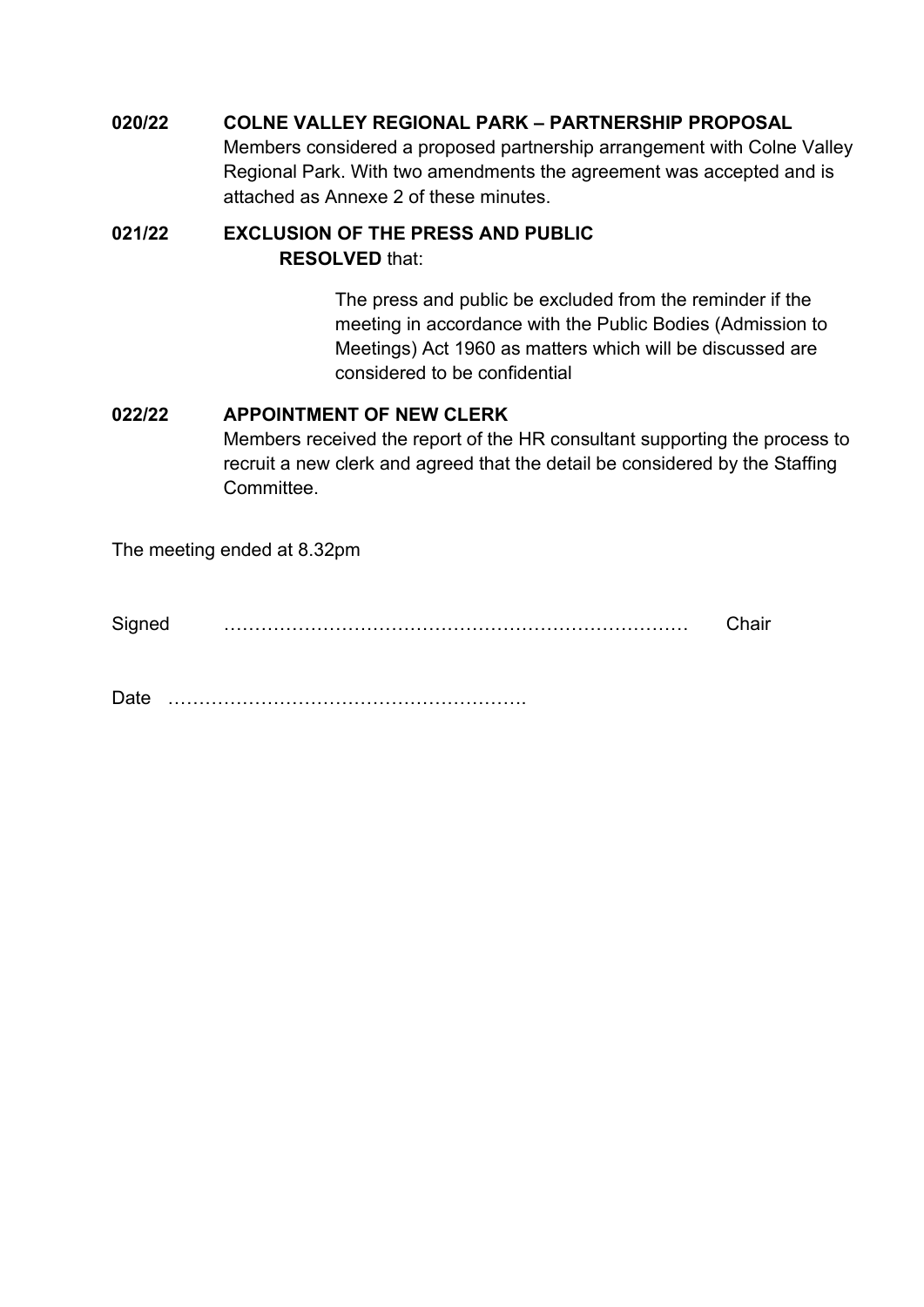# **020/22 COLNE VALLEY REGIONAL PARK – PARTNERSHIP PROPOSAL** Members considered a proposed partnership arrangement with Colne Valley Regional Park. With two amendments the agreement was accepted and is attached as Annexe 2 of these minutes.

## **021/22 EXCLUSION OF THE PRESS AND PUBLIC RESOLVED** that:

The press and public be excluded from the reminder if the meeting in accordance with the Public Bodies (Admission to Meetings) Act 1960 as matters which will be discussed are considered to be confidential

## **022/22 APPOINTMENT OF NEW CLERK**

Members received the report of the HR consultant supporting the process to recruit a new clerk and agreed that the detail be considered by the Staffing **Committee** 

The meeting ended at 8.32pm

Signed ………………………………………………………………… Chair

Date ………………………………………………….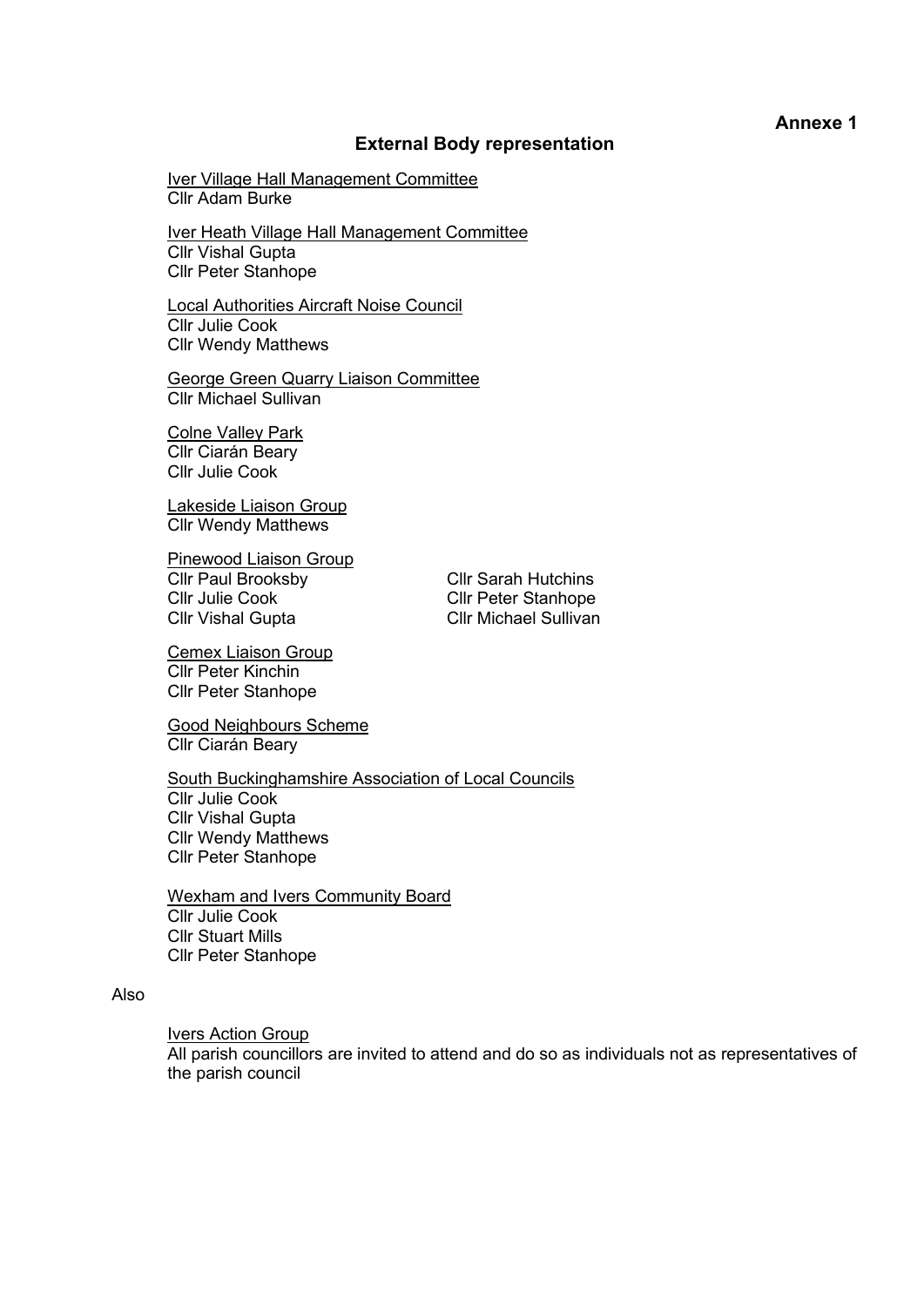#### **Annexe 1**

#### **External Body representation**

Iver Village Hall Management Committee Cllr Adam Burke

Iver Heath Village Hall Management Committee **Cllr Vishal Gupta** Cllr Peter Stanhope

Local Authorities Aircraft Noise Council Cllr Julie Cook Cllr Wendy Matthews

George Green Quarry Liaison Committee Cllr Michael Sullivan

Colne Valley Park Cllr Ciarán Beary Cllr Julie Cook

Lakeside Liaison Group Cllr Wendy Matthews

Pinewood Liaison Group **Cllr Paul Brooksby** Cllr Sarah Hutchins Cllr Julie Cook Cllr Peter Stanhope Cllr Vishal Gupta Cllr Michael Sullivan

Cemex Liaison Group Cllr Peter Kinchin Cllr Peter Stanhope

Good Neighbours Scheme Cllr Ciarán Beary

South Buckinghamshire Association of Local Councils Cllr Julie Cook Cllr Vishal Gupta Cllr Wendy Matthews Cllr Peter Stanhope

Wexham and Ivers Community Board Cllr Julie Cook Cllr Stuart Mills Cllr Peter Stanhope

#### Also

Ivers Action Group

All parish councillors are invited to attend and do so as individuals not as representatives of the parish council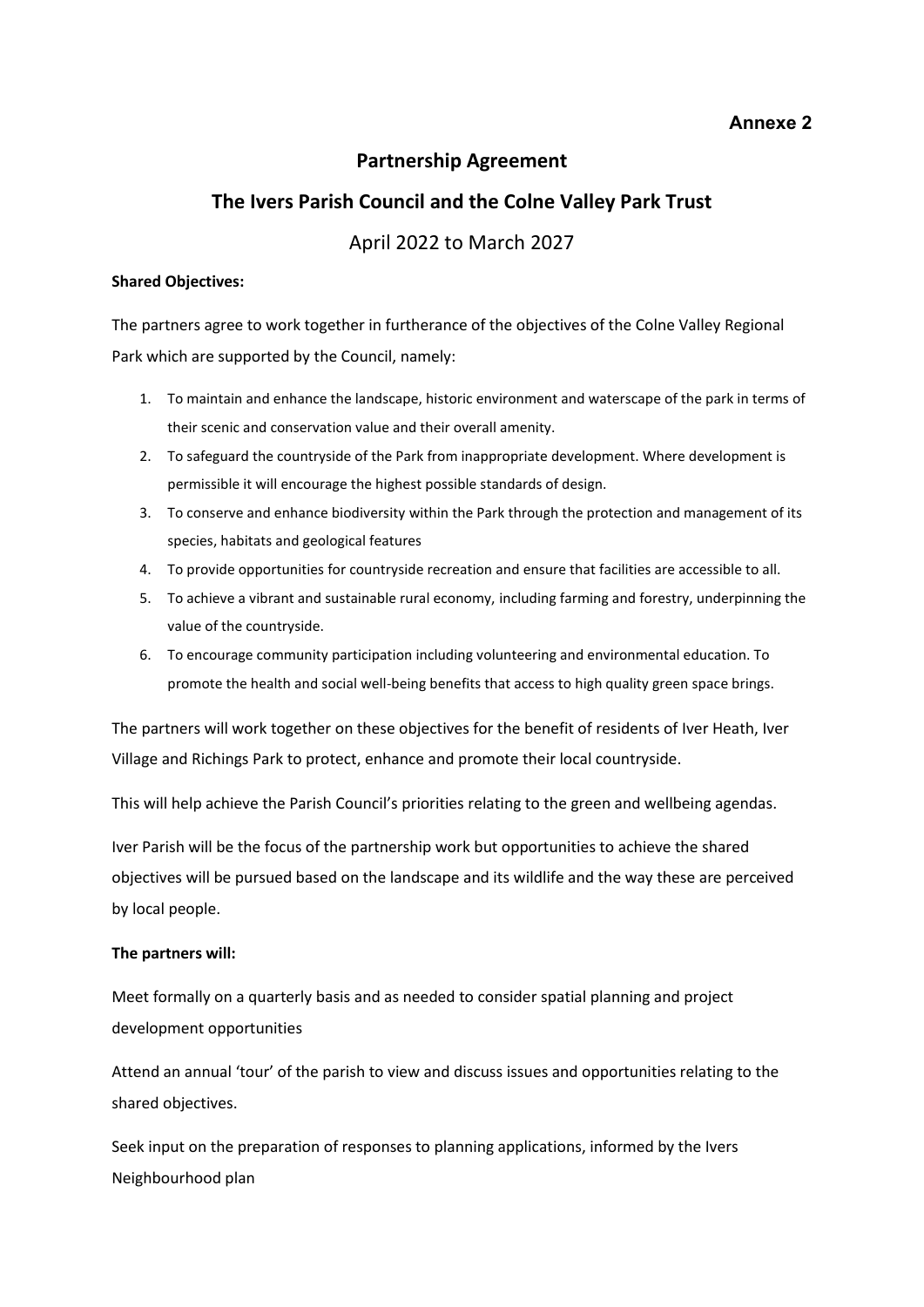#### **Annexe 2**

#### **Partnership Agreement**

#### **The Ivers Parish Council and the Colne Valley Park Trust**

#### April 2022 to March 2027

#### **Shared Objectives:**

The partners agree to work together in furtherance of the objectives of the Colne Valley Regional Park which are supported by the Council, namely:

- 1. To maintain and enhance the landscape, historic environment and waterscape of the park in terms of their scenic and conservation value and their overall amenity.
- 2. To safeguard the countryside of the Park from inappropriate development. Where development is permissible it will encourage the highest possible standards of design.
- 3. To conserve and enhance biodiversity within the Park through the protection and management of its species, habitats and geological features
- 4. To provide opportunities for countryside recreation and ensure that facilities are accessible to all.
- 5. To achieve a vibrant and sustainable rural economy, including farming and forestry, underpinning the value of the countryside.
- 6. To encourage community participation including volunteering and environmental education. To promote the health and social well-being benefits that access to high quality green space brings.

The partners will work together on these objectives for the benefit of residents of Iver Heath, Iver Village and Richings Park to protect, enhance and promote their local countryside.

This will help achieve the Parish Council's priorities relating to the green and wellbeing agendas.

Iver Parish will be the focus of the partnership work but opportunities to achieve the shared objectives will be pursued based on the landscape and its wildlife and the way these are perceived by local people.

#### **The partners will:**

Meet formally on a quarterly basis and as needed to consider spatial planning and project development opportunities

Attend an annual 'tour' of the parish to view and discuss issues and opportunities relating to the shared objectives.

Seek input on the preparation of responses to planning applications, informed by the Ivers Neighbourhood plan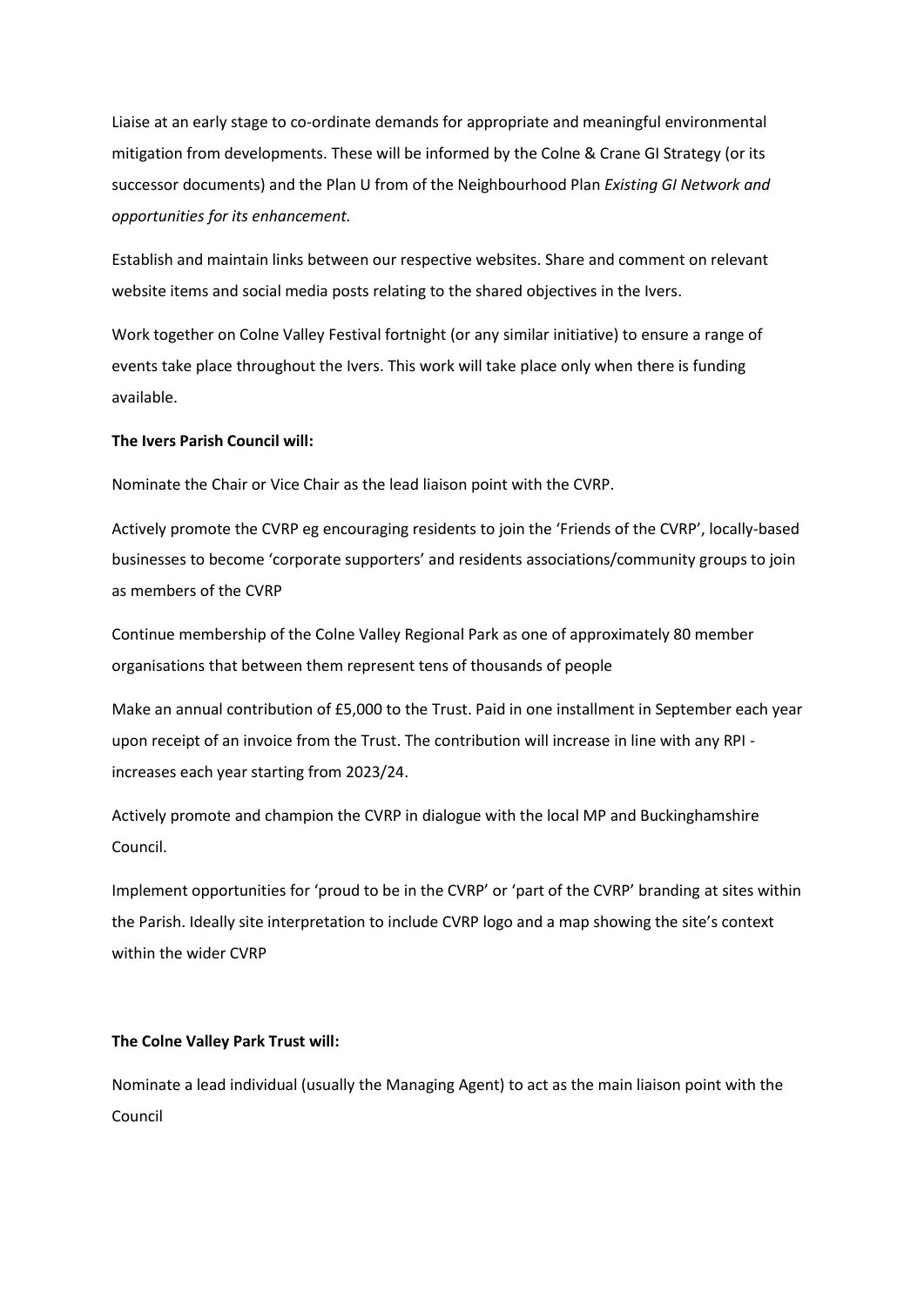Liaise at an early stage to co-ordinate demands for appropriate and meaningful environmental mitigation from developments. These will be informed by the Colne & Crane GI Strategy (or its successor documents) and the Plan U from of the Neighbourhood Plan *Existing GI Network and opportunities for its enhancement.*

Establish and maintain links between our respective websites. Share and comment on relevant website items and social media posts relating to the shared objectives in the Ivers.

Work together on Colne Valley Festival fortnight (or any similar initiative) to ensure a range of events take place throughout the Ivers. This work will take place only when there is funding available.

#### **The Ivers Parish Council will:**

Nominate the Chair or Vice Chair as the lead liaison point with the CVRP.

Actively promote the CVRP eg encouraging residents to join the 'Friends of the CVRP', locally-based businesses to become 'corporate supporters' and residents associations/community groups to join as members of the CVRP

Continue membership of the Colne Valley Regional Park as one of approximately 80 member organisations that between them represent tens of thousands of people

Make an annual contribution of £5,000 to the Trust. Paid in one installment in September each year upon receipt of an invoice from the Trust. The contribution will increase in line with any RPI increases each year starting from 2023/24.

Actively promote and champion the CVRP in dialogue with the local MP and Buckinghamshire Council.

Implement opportunities for 'proud to be in the CVRP' or 'part of the CVRP' branding at sites within the Parish. Ideally site interpretation to include CVRP logo and a map showing the site's context within the wider CVRP

#### **The Colne Valley Park Trust will:**

Nominate a lead individual (usually the Managing Agent) to act as the main liaison point with the Council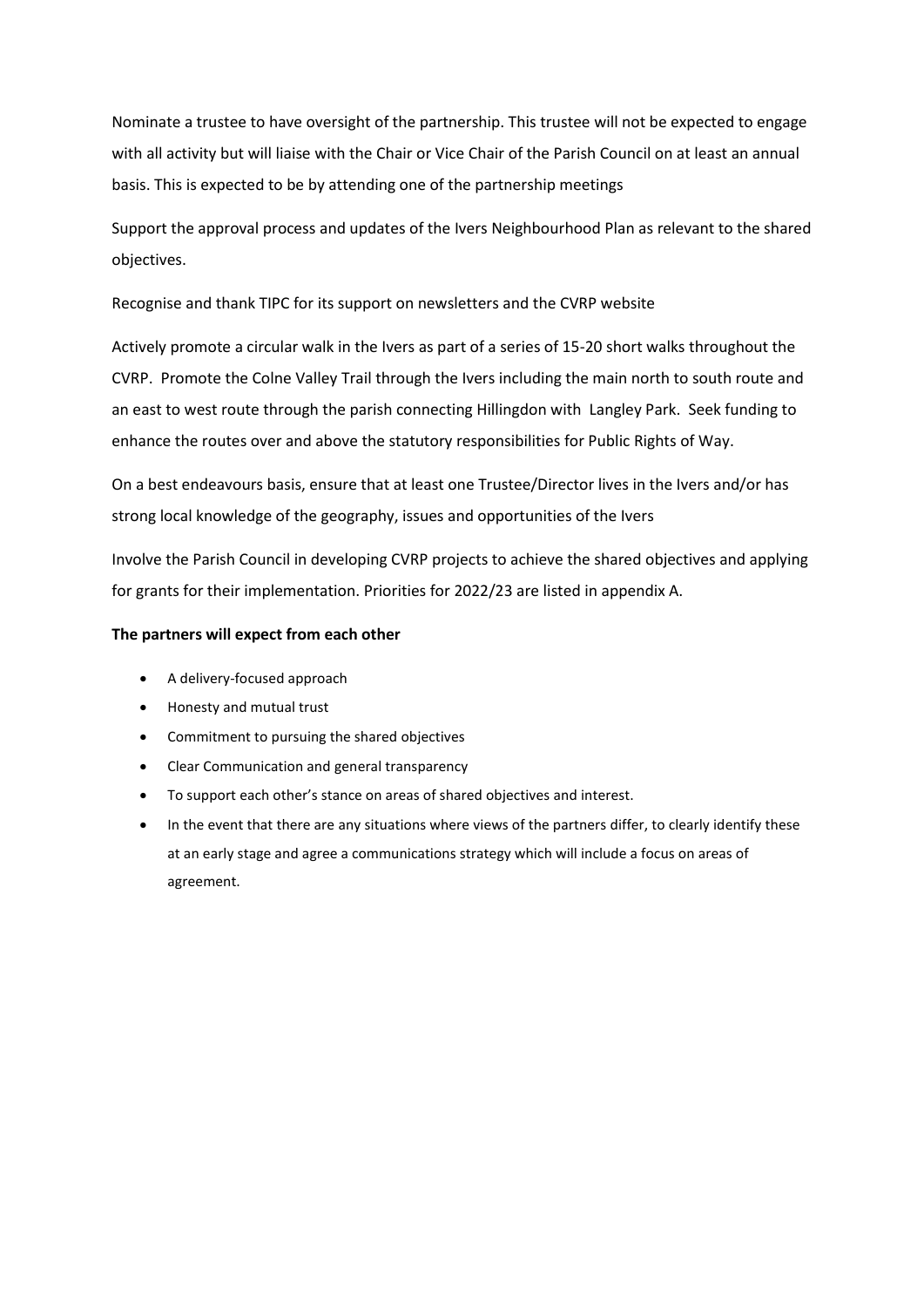Nominate a trustee to have oversight of the partnership. This trustee will not be expected to engage with all activity but will liaise with the Chair or Vice Chair of the Parish Council on at least an annual basis. This is expected to be by attending one of the partnership meetings

Support the approval process and updates of the Ivers Neighbourhood Plan as relevant to the shared objectives.

Recognise and thank TIPC for its support on newsletters and the CVRP website

Actively promote a circular walk in the Ivers as part of a series of 15-20 short walks throughout the CVRP. Promote the Colne Valley Trail through the Ivers including the main north to south route and an east to west route through the parish connecting Hillingdon with Langley Park. Seek funding to enhance the routes over and above the statutory responsibilities for Public Rights of Way.

On a best endeavours basis, ensure that at least one Trustee/Director lives in the Ivers and/or has strong local knowledge of the geography, issues and opportunities of the Ivers

Involve the Parish Council in developing CVRP projects to achieve the shared objectives and applying for grants for their implementation. Priorities for 2022/23 are listed in appendix A.

#### **The partners will expect from each other**

- A delivery-focused approach
- Honesty and mutual trust
- Commitment to pursuing the shared objectives
- Clear Communication and general transparency
- To support each other's stance on areas of shared objectives and interest.
- In the event that there are any situations where views of the partners differ, to clearly identify these at an early stage and agree a communications strategy which will include a focus on areas of agreement.